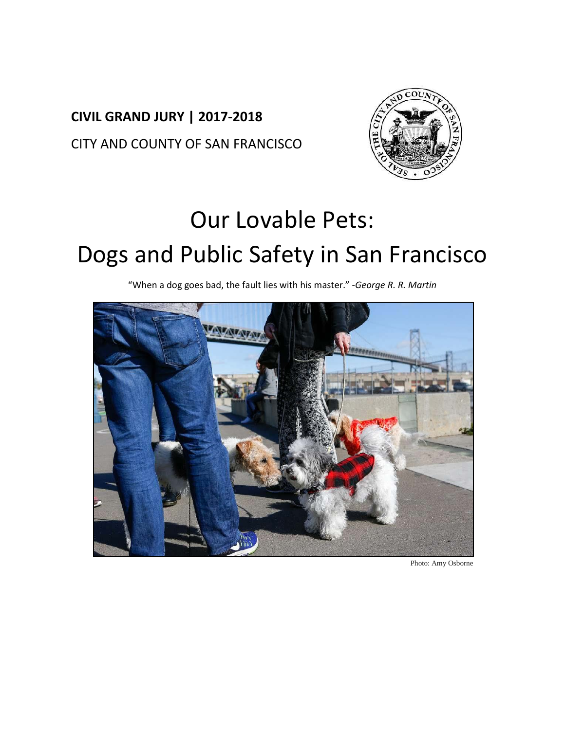## **CIVIL GRAND JURY | 2017-2018** CITY AND COUNTY OF SAN FRANCISCO



# Our Lovable Pets:

# Dogs and Public Safety in San Francisco

"When a dog goes bad, the fault lies with his master." -*George R. R. Martin*



Photo: Amy Osborne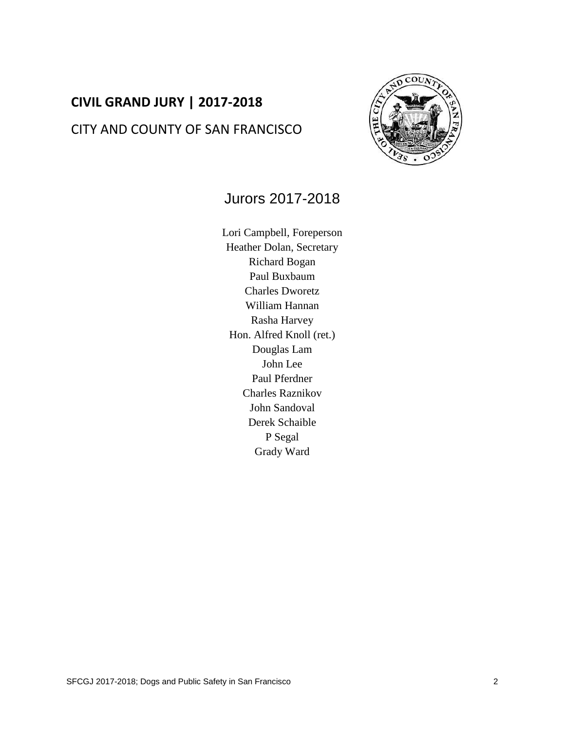## **CIVIL GRAND JURY | 2017-2018** CITY AND COUNTY OF SAN FRANCISCO



### Jurors 2017-2018

Lori Campbell, Foreperson Heather Dolan, Secretary Richard Bogan Paul Buxbaum Charles Dworetz William Hannan Rasha Harvey Hon. Alfred Knoll (ret.) Douglas Lam John Lee Paul Pferdner Charles Raznikov John Sandoval Derek Schaible P Segal Grady Ward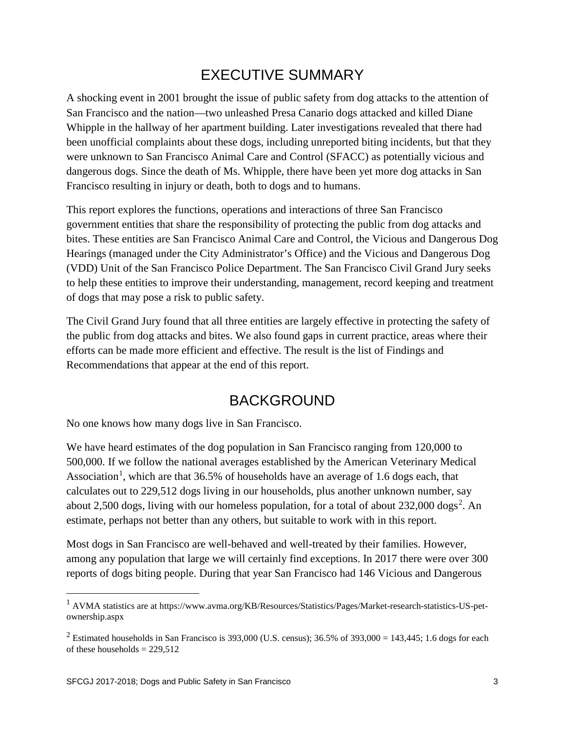## EXECUTIVE SUMMARY

A shocking event in 2001 brought the issue of public safety from dog attacks to the attention of San Francisco and the nation—two unleashed Presa Canario dogs attacked and killed Diane Whipple in the hallway of her apartment building. Later investigations revealed that there had been unofficial complaints about these dogs, including unreported biting incidents, but that they were unknown to San Francisco Animal Care and Control (SFACC) as potentially vicious and dangerous dogs. Since the death of Ms. Whipple, there have been yet more dog attacks in San Francisco resulting in injury or death, both to dogs and to humans.

This report explores the functions, operations and interactions of three San Francisco government entities that share the responsibility of protecting the public from dog attacks and bites. These entities are San Francisco Animal Care and Control, the Vicious and Dangerous Dog Hearings (managed under the City Administrator's Office) and the Vicious and Dangerous Dog (VDD) Unit of the San Francisco Police Department. The San Francisco Civil Grand Jury seeks to help these entities to improve their understanding, management, record keeping and treatment of dogs that may pose a risk to public safety.

The Civil Grand Jury found that all three entities are largely effective in protecting the safety of the public from dog attacks and bites. We also found gaps in current practice, areas where their efforts can be made more efficient and effective. The result is the list of Findings and Recommendations that appear at the end of this report.

## BACKGROUND

No one knows how many dogs live in San Francisco.

We have heard estimates of the dog population in San Francisco ranging from 120,000 to 500,000. If we follow the national averages established by the American Veterinary Medical Association<sup>[1](#page-2-0)</sup>, which are that  $36.5\%$  of households have an average of 1.6 dogs each, that calculates out to 229,512 dogs living in our households, plus another unknown number, say about [2](#page-2-1),500 dogs, living with our homeless population, for a total of about  $232,000$  dogs<sup>2</sup>. An estimate, perhaps not better than any others, but suitable to work with in this report.

Most dogs in San Francisco are well-behaved and well-treated by their families. However, among any population that large we will certainly find exceptions. In 2017 there were over 300 reports of dogs biting people. During that year San Francisco had 146 Vicious and Dangerous

<span id="page-2-0"></span> <sup>1</sup> AVMA statistics are at https://www.avma.org/KB/Resources/Statistics/Pages/Market-research-statistics-US-petownership.aspx

<span id="page-2-1"></span><sup>&</sup>lt;sup>2</sup> Estimated households in San Francisco is 393,000 (U.S. census); 36.5% of 393,000 = 143,445; 1.6 dogs for each of these households  $= 229,512$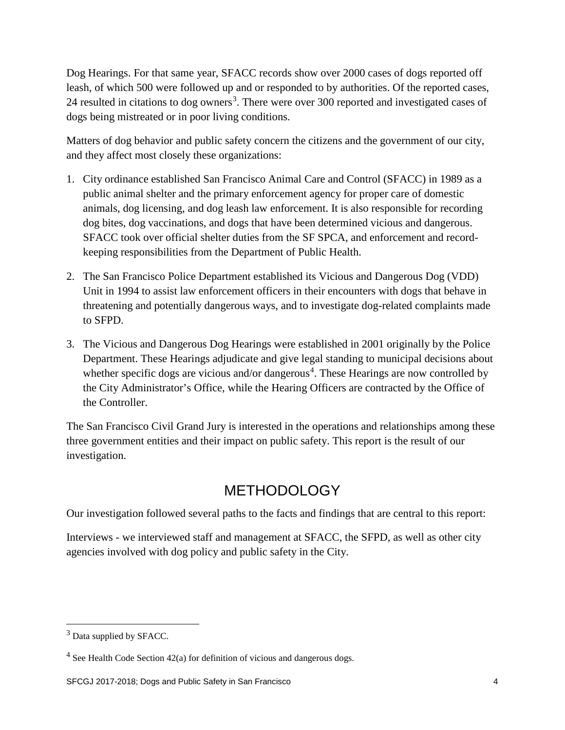Dog Hearings. For that same year, SFACC records show over 2000 cases of dogs reported off leash, of which 500 were followed up and or responded to by authorities. Of the reported cases, 24 resulted in citations to dog owners<sup>[3](#page-3-0)</sup>. There were over 300 reported and investigated cases of dogs being mistreated or in poor living conditions.

Matters of dog behavior and public safety concern the citizens and the government of our city, and they affect most closely these organizations:

- 1. City ordinance established San Francisco Animal Care and Control (SFACC) in 1989 as a public animal shelter and the primary enforcement agency for proper care of domestic animals, dog licensing, and dog leash law enforcement. It is also responsible for recording dog bites, dog vaccinations, and dogs that have been determined vicious and dangerous. SFACC took over official shelter duties from the SF SPCA, and enforcement and recordkeeping responsibilities from the Department of Public Health.
- 2. The San Francisco Police Department established its Vicious and Dangerous Dog (VDD) Unit in 1994 to assist law enforcement officers in their encounters with dogs that behave in threatening and potentially dangerous ways, and to investigate dog-related complaints made to SFPD.
- 3. The Vicious and Dangerous Dog Hearings were established in 2001 originally by the Police Department. These Hearings adjudicate and give legal standing to municipal decisions about whether specific dogs are vicious and/or dangerous<sup>[4](#page-3-1)</sup>. These Hearings are now controlled by the City Administrator's Office, while the Hearing Officers are contracted by the Office of the Controller.

The San Francisco Civil Grand Jury is interested in the operations and relationships among these three government entities and their impact on public safety. This report is the result of our investigation.

## **METHODOLOGY**

Our investigation followed several paths to the facts and findings that are central to this report:

Interviews - we interviewed staff and management at SFACC, the SFPD, as well as other city agencies involved with dog policy and public safety in the City.

<span id="page-3-0"></span><sup>&</sup>lt;sup>3</sup> Data supplied by SFACC.

<span id="page-3-1"></span> $4$  See Health Code Section 42(a) for definition of vicious and dangerous dogs.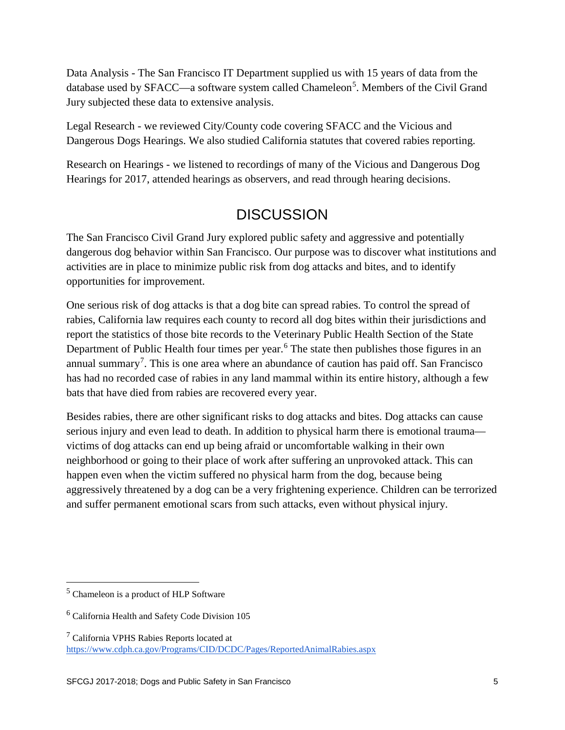Data Analysis - The San Francisco IT Department supplied us with 15 years of data from the database used by SFACC—a software system called Chameleon<sup>[5](#page-4-0)</sup>. Members of the Civil Grand Jury subjected these data to extensive analysis.

Legal Research - we reviewed City/County code covering SFACC and the Vicious and Dangerous Dogs Hearings. We also studied California statutes that covered rabies reporting.

Research on Hearings - we listened to recordings of many of the Vicious and Dangerous Dog Hearings for 2017, attended hearings as observers, and read through hearing decisions.

## **DISCUSSION**

The San Francisco Civil Grand Jury explored public safety and aggressive and potentially dangerous dog behavior within San Francisco. Our purpose was to discover what institutions and activities are in place to minimize public risk from dog attacks and bites, and to identify opportunities for improvement.

One serious risk of dog attacks is that a dog bite can spread rabies. To control the spread of rabies, California law requires each county to record all dog bites within their jurisdictions and report the statistics of those bite records to the Veterinary Public Health Section of the State Department of Public Health four times per year.<sup>[6](#page-4-1)</sup> The state then publishes those figures in an annual summary<sup>[7](#page-4-2)</sup>. This is one area where an abundance of caution has paid off. San Francisco has had no recorded case of rabies in any land mammal within its entire history, although a few bats that have died from rabies are recovered every year.

Besides rabies, there are other significant risks to dog attacks and bites. Dog attacks can cause serious injury and even lead to death. In addition to physical harm there is emotional trauma victims of dog attacks can end up being afraid or uncomfortable walking in their own neighborhood or going to their place of work after suffering an unprovoked attack. This can happen even when the victim suffered no physical harm from the dog, because being aggressively threatened by a dog can be a very frightening experience. Children can be terrorized and suffer permanent emotional scars from such attacks, even without physical injury.

<span id="page-4-0"></span> <sup>5</sup> Chameleon is a product of HLP Software

<span id="page-4-1"></span><sup>6</sup> California Health and Safety Code Division 105

<span id="page-4-2"></span><sup>7</sup> California VPHS Rabies Reports located at <https://www.cdph.ca.gov/Programs/CID/DCDC/Pages/ReportedAnimalRabies.aspx>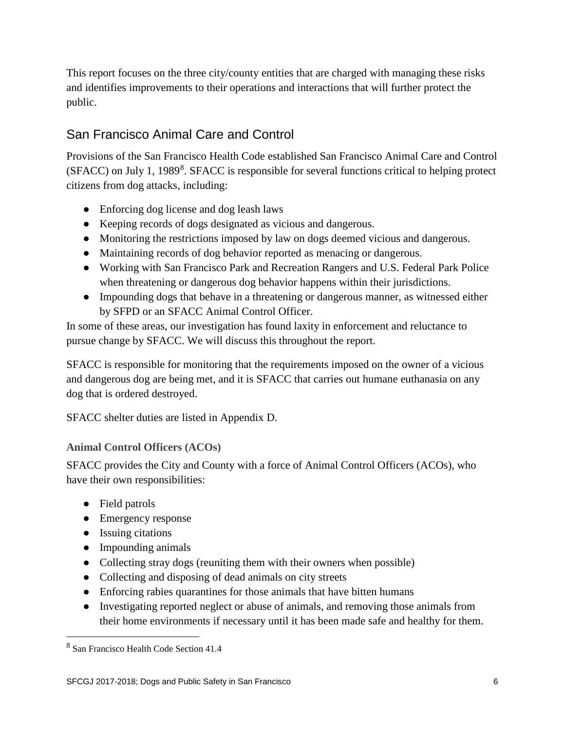This report focuses on the three city/county entities that are charged with managing these risks and identifies improvements to their operations and interactions that will further protect the public.

#### San Francisco Animal Care and Control

Provisions of the San Francisco Health Code established San Francisco Animal Care and Control (SFACC) on July 1, 19[8](#page-5-0)9<sup>8</sup>. SFACC is responsible for several functions critical to helping protect citizens from dog attacks, including:

- Enforcing dog license and dog leash laws
- Keeping records of dogs designated as vicious and dangerous.
- Monitoring the restrictions imposed by law on dogs deemed vicious and dangerous.
- Maintaining records of dog behavior reported as menacing or dangerous.
- Working with San Francisco Park and Recreation Rangers and U.S. Federal Park Police when threatening or dangerous dog behavior happens within their jurisdictions.
- Impounding dogs that behave in a threatening or dangerous manner, as witnessed either by SFPD or an SFACC Animal Control Officer.

In some of these areas, our investigation has found laxity in enforcement and reluctance to pursue change by SFACC. We will discuss this throughout the report.

SFACC is responsible for monitoring that the requirements imposed on the owner of a vicious and dangerous dog are being met, and it is SFACC that carries out humane euthanasia on any dog that is ordered destroyed.

SFACC shelter duties are listed in Appendix D.

#### **Animal Control Officers (ACOs)**

SFACC provides the City and County with a force of Animal Control Officers (ACOs), who have their own responsibilities:

- Field patrols
- Emergency response
- Issuing citations
- Impounding animals
- Collecting stray dogs (reuniting them with their owners when possible)
- Collecting and disposing of dead animals on city streets
- Enforcing rabies quarantines for those animals that have bitten humans
- Investigating reported neglect or abuse of animals, and removing those animals from their home environments if necessary until it has been made safe and healthy for them.

<span id="page-5-0"></span> <sup>8</sup> San Francisco Health Code Section 41.4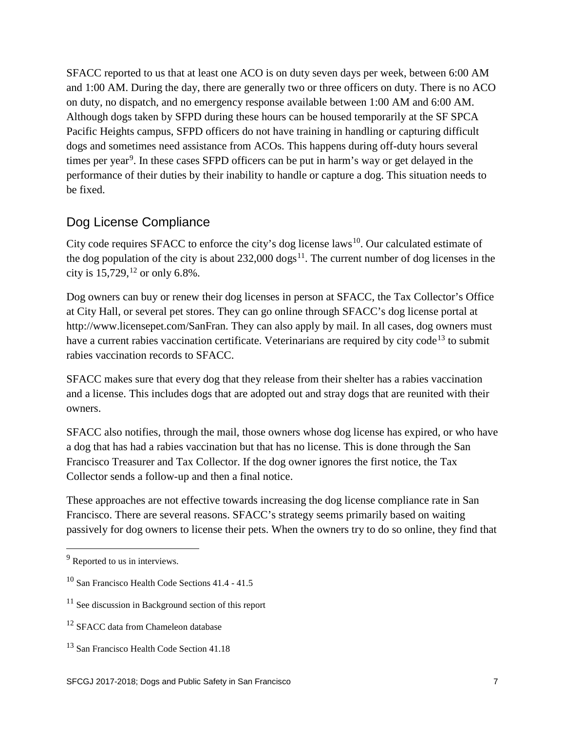SFACC reported to us that at least one ACO is on duty seven days per week, between 6:00 AM and 1:00 AM. During the day, there are generally two or three officers on duty. There is no ACO on duty, no dispatch, and no emergency response available between 1:00 AM and 6:00 AM. Although dogs taken by SFPD during these hours can be housed temporarily at the SF SPCA Pacific Heights campus, SFPD officers do not have training in handling or capturing difficult dogs and sometimes need assistance from ACOs. This happens during off-duty hours several times per year<sup>[9](#page-6-0)</sup>. In these cases SFPD officers can be put in harm's way or get delayed in the performance of their duties by their inability to handle or capture a dog. This situation needs to be fixed.

#### Dog License Compliance

City code requires SFACC to enforce the city's dog license laws<sup>10</sup>. Our calculated estimate of the dog population of the city is about  $232,000 \text{ dogs}^{11}$ . The current number of dog licenses in the city is  $15,729$ ,  $^{12}$  $^{12}$  $^{12}$  or only 6.8%.

Dog owners can buy or renew their dog licenses in person at SFACC, the Tax Collector's Office at City Hall, or several pet stores. They can go online through SFACC's dog license portal at http://www.licensepet.com/SanFran. They can also apply by mail. In all cases, dog owners must have a current rabies vaccination certificate. Veterinarians are required by city code<sup>[13](#page-6-4)</sup> to submit rabies vaccination records to SFACC.

SFACC makes sure that every dog that they release from their shelter has a rabies vaccination and a license. This includes dogs that are adopted out and stray dogs that are reunited with their owners.

SFACC also notifies, through the mail, those owners whose dog license has expired, or who have a dog that has had a rabies vaccination but that has no license. This is done through the San Francisco Treasurer and Tax Collector. If the dog owner ignores the first notice, the Tax Collector sends a follow-up and then a final notice.

These approaches are not effective towards increasing the dog license compliance rate in San Francisco. There are several reasons. SFACC's strategy seems primarily based on waiting passively for dog owners to license their pets. When the owners try to do so online, they find that

<span id="page-6-0"></span><sup>&</sup>lt;sup>9</sup> Reported to us in interviews.

<span id="page-6-1"></span><sup>10</sup> San Francisco Health Code Sections 41.4 - 41.5

<span id="page-6-2"></span><sup>&</sup>lt;sup>11</sup> See discussion in Background section of this report

<span id="page-6-3"></span><sup>&</sup>lt;sup>12</sup> SFACC data from Chameleon database

<span id="page-6-4"></span><sup>&</sup>lt;sup>13</sup> San Francisco Health Code Section 41.18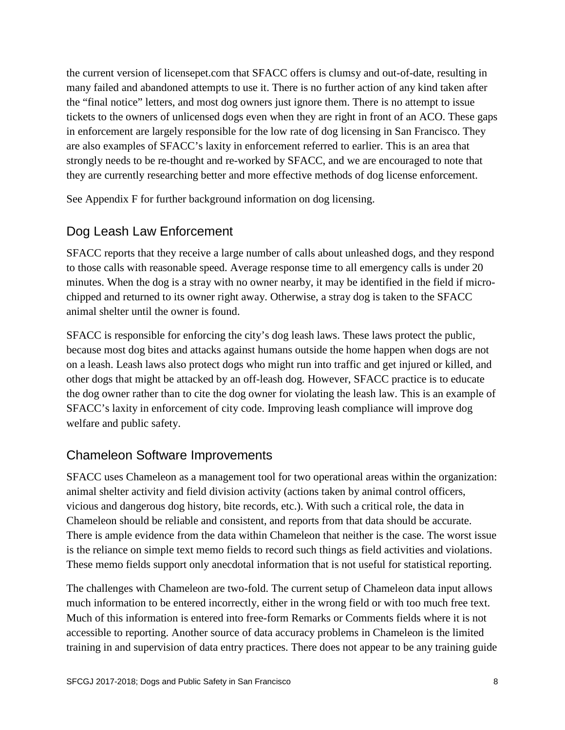the current version of licensepet.com that SFACC offers is clumsy and out-of-date, resulting in many failed and abandoned attempts to use it. There is no further action of any kind taken after the "final notice" letters, and most dog owners just ignore them. There is no attempt to issue tickets to the owners of unlicensed dogs even when they are right in front of an ACO. These gaps in enforcement are largely responsible for the low rate of dog licensing in San Francisco. They are also examples of SFACC's laxity in enforcement referred to earlier. This is an area that strongly needs to be re-thought and re-worked by SFACC, and we are encouraged to note that they are currently researching better and more effective methods of dog license enforcement.

See Appendix F for further background information on dog licensing.

#### Dog Leash Law Enforcement

SFACC reports that they receive a large number of calls about unleashed dogs, and they respond to those calls with reasonable speed. Average response time to all emergency calls is under 20 minutes. When the dog is a stray with no owner nearby, it may be identified in the field if microchipped and returned to its owner right away. Otherwise, a stray dog is taken to the SFACC animal shelter until the owner is found.

SFACC is responsible for enforcing the city's dog leash laws. These laws protect the public, because most dog bites and attacks against humans outside the home happen when dogs are not on a leash. Leash laws also protect dogs who might run into traffic and get injured or killed, and other dogs that might be attacked by an off-leash dog. However, SFACC practice is to educate the dog owner rather than to cite the dog owner for violating the leash law. This is an example of SFACC's laxity in enforcement of city code. Improving leash compliance will improve dog welfare and public safety.

#### Chameleon Software Improvements

SFACC uses Chameleon as a management tool for two operational areas within the organization: animal shelter activity and field division activity (actions taken by animal control officers, vicious and dangerous dog history, bite records, etc.). With such a critical role, the data in Chameleon should be reliable and consistent, and reports from that data should be accurate. There is ample evidence from the data within Chameleon that neither is the case. The worst issue is the reliance on simple text memo fields to record such things as field activities and violations. These memo fields support only anecdotal information that is not useful for statistical reporting.

The challenges with Chameleon are two-fold. The current setup of Chameleon data input allows much information to be entered incorrectly, either in the wrong field or with too much free text. Much of this information is entered into free-form Remarks or Comments fields where it is not accessible to reporting. Another source of data accuracy problems in Chameleon is the limited training in and supervision of data entry practices. There does not appear to be any training guide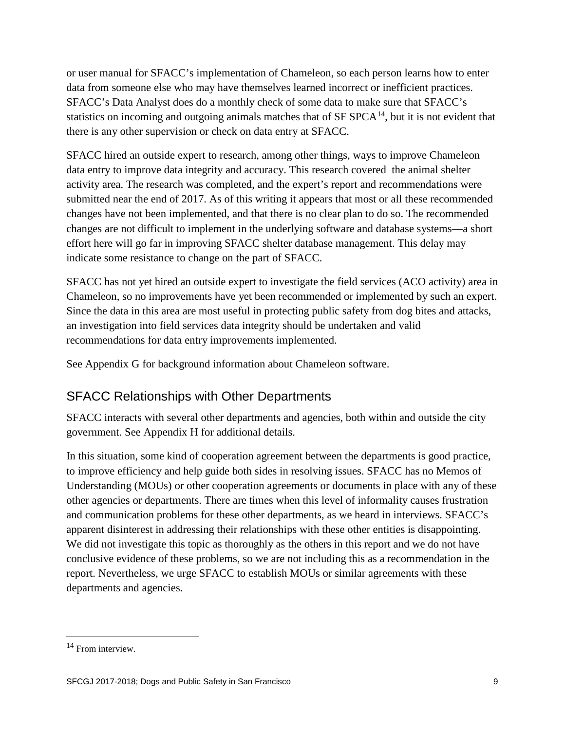or user manual for SFACC's implementation of Chameleon, so each person learns how to enter data from someone else who may have themselves learned incorrect or inefficient practices. SFACC's Data Analyst does do a monthly check of some data to make sure that SFACC's statistics on incoming and outgoing animals matches that of  $SFSPCA<sup>14</sup>$  $SFSPCA<sup>14</sup>$  $SFSPCA<sup>14</sup>$ , but it is not evident that there is any other supervision or check on data entry at SFACC.

SFACC hired an outside expert to research, among other things, ways to improve Chameleon data entry to improve data integrity and accuracy. This research covered the animal shelter activity area. The research was completed, and the expert's report and recommendations were submitted near the end of 2017. As of this writing it appears that most or all these recommended changes have not been implemented, and that there is no clear plan to do so. The recommended changes are not difficult to implement in the underlying software and database systems—a short effort here will go far in improving SFACC shelter database management. This delay may indicate some resistance to change on the part of SFACC.

SFACC has not yet hired an outside expert to investigate the field services (ACO activity) area in Chameleon, so no improvements have yet been recommended or implemented by such an expert. Since the data in this area are most useful in protecting public safety from dog bites and attacks, an investigation into field services data integrity should be undertaken and valid recommendations for data entry improvements implemented.

See Appendix G for background information about Chameleon software.

#### SFACC Relationships with Other Departments

SFACC interacts with several other departments and agencies, both within and outside the city government. See Appendix H for additional details.

In this situation, some kind of cooperation agreement between the departments is good practice, to improve efficiency and help guide both sides in resolving issues. SFACC has no Memos of Understanding (MOUs) or other cooperation agreements or documents in place with any of these other agencies or departments. There are times when this level of informality causes frustration and communication problems for these other departments, as we heard in interviews. SFACC's apparent disinterest in addressing their relationships with these other entities is disappointing. We did not investigate this topic as thoroughly as the others in this report and we do not have conclusive evidence of these problems, so we are not including this as a recommendation in the report. Nevertheless, we urge SFACC to establish MOUs or similar agreements with these departments and agencies.

<span id="page-8-0"></span><sup>&</sup>lt;sup>14</sup> From interview.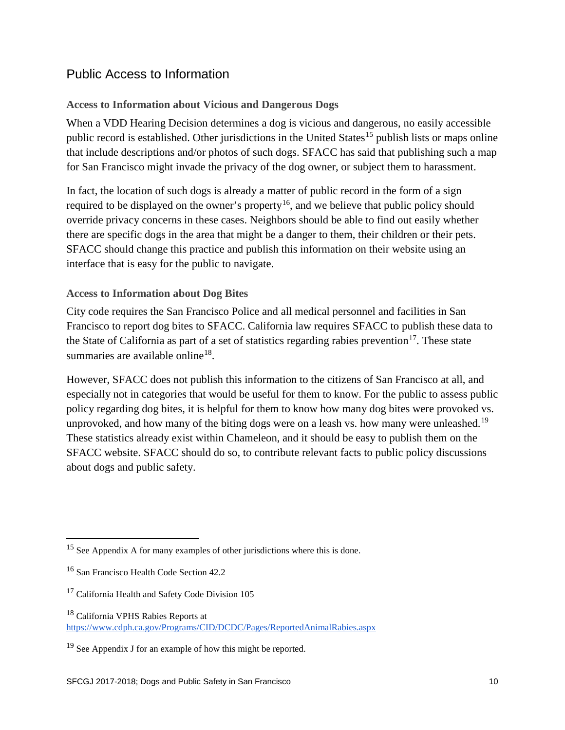#### Public Access to Information

#### **Access to Information about Vicious and Dangerous Dogs**

When a VDD Hearing Decision determines a dog is vicious and dangerous, no easily accessible public record is established. Other jurisdictions in the United States<sup>[15](#page-9-0)</sup> publish lists or maps online that include descriptions and/or photos of such dogs. SFACC has said that publishing such a map for San Francisco might invade the privacy of the dog owner, or subject them to harassment.

In fact, the location of such dogs is already a matter of public record in the form of a sign required to be displayed on the owner's property<sup>[16](#page-9-1)</sup>, and we believe that public policy should override privacy concerns in these cases. Neighbors should be able to find out easily whether there are specific dogs in the area that might be a danger to them, their children or their pets. SFACC should change this practice and publish this information on their website using an interface that is easy for the public to navigate.

#### **Access to Information about Dog Bites**

City code requires the San Francisco Police and all medical personnel and facilities in San Francisco to report dog bites to SFACC. California law requires SFACC to publish these data to the State of California as part of a set of statistics regarding rabies prevention<sup>[17](#page-9-2)</sup>. These state summaries are available online<sup>18</sup>.

However, SFACC does not publish this information to the citizens of San Francisco at all, and especially not in categories that would be useful for them to know. For the public to assess public policy regarding dog bites, it is helpful for them to know how many dog bites were provoked vs. unprovoked, and how many of the biting dogs were on a leash vs. how many were unleashed.<sup>[19](#page-9-4)</sup> These statistics already exist within Chameleon, and it should be easy to publish them on the SFACC website. SFACC should do so, to contribute relevant facts to public policy discussions about dogs and public safety.

<span id="page-9-0"></span><sup>&</sup>lt;sup>15</sup> See Appendix A for many examples of other jurisdictions where this is done.

<span id="page-9-1"></span><sup>&</sup>lt;sup>16</sup> San Francisco Health Code Section 42.2

<span id="page-9-2"></span><sup>&</sup>lt;sup>17</sup> California Health and Safety Code Division 105

<span id="page-9-3"></span><sup>18</sup> California VPHS Rabies Reports at <https://www.cdph.ca.gov/Programs/CID/DCDC/Pages/ReportedAnimalRabies.aspx>

<span id="page-9-4"></span><sup>&</sup>lt;sup>19</sup> See Appendix J for an example of how this might be reported.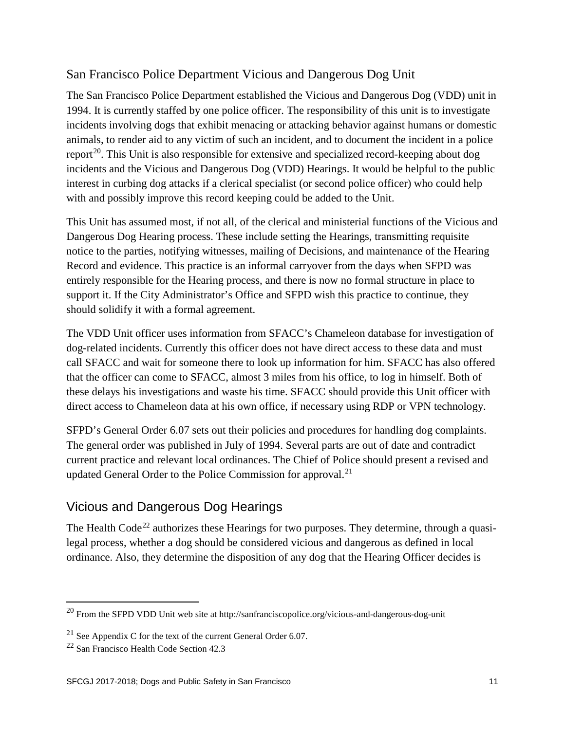#### San Francisco Police Department Vicious and Dangerous Dog Unit

The San Francisco Police Department established the Vicious and Dangerous Dog (VDD) unit in 1994. It is currently staffed by one police officer. The responsibility of this unit is to investigate incidents involving dogs that exhibit menacing or attacking behavior against humans or domestic animals, to render aid to any victim of such an incident, and to document the incident in a police report<sup>[20](#page-10-0)</sup>. This Unit is also responsible for extensive and specialized record-keeping about dog incidents and the Vicious and Dangerous Dog (VDD) Hearings. It would be helpful to the public interest in curbing dog attacks if a clerical specialist (or second police officer) who could help with and possibly improve this record keeping could be added to the Unit.

This Unit has assumed most, if not all, of the clerical and ministerial functions of the Vicious and Dangerous Dog Hearing process. These include setting the Hearings, transmitting requisite notice to the parties, notifying witnesses, mailing of Decisions, and maintenance of the Hearing Record and evidence. This practice is an informal carryover from the days when SFPD was entirely responsible for the Hearing process, and there is now no formal structure in place to support it. If the City Administrator's Office and SFPD wish this practice to continue, they should solidify it with a formal agreement.

The VDD Unit officer uses information from SFACC's Chameleon database for investigation of dog-related incidents. Currently this officer does not have direct access to these data and must call SFACC and wait for someone there to look up information for him. SFACC has also offered that the officer can come to SFACC, almost 3 miles from his office, to log in himself. Both of these delays his investigations and waste his time. SFACC should provide this Unit officer with direct access to Chameleon data at his own office, if necessary using RDP or VPN technology.

SFPD's General Order 6.07 sets out their policies and procedures for handling dog complaints. The general order was published in July of 1994. Several parts are out of date and contradict current practice and relevant local ordinances. The Chief of Police should present a revised and updated General Order to the Police Commission for approval.<sup>[21](#page-10-1)</sup>

### Vicious and Dangerous Dog Hearings

The Health Code<sup>[22](#page-10-2)</sup> authorizes these Hearings for two purposes. They determine, through a quasilegal process, whether a dog should be considered vicious and dangerous as defined in local ordinance. Also, they determine the disposition of any dog that the Hearing Officer decides is

<span id="page-10-0"></span> <sup>20</sup> From the SFPD VDD Unit web site at http://sanfranciscopolice.org/vicious-and-dangerous-dog-unit

<span id="page-10-1"></span><sup>&</sup>lt;sup>21</sup> See Appendix C for the text of the current General Order  $6.07$ .

<span id="page-10-2"></span> $22$  San Francisco Health Code Section 42.3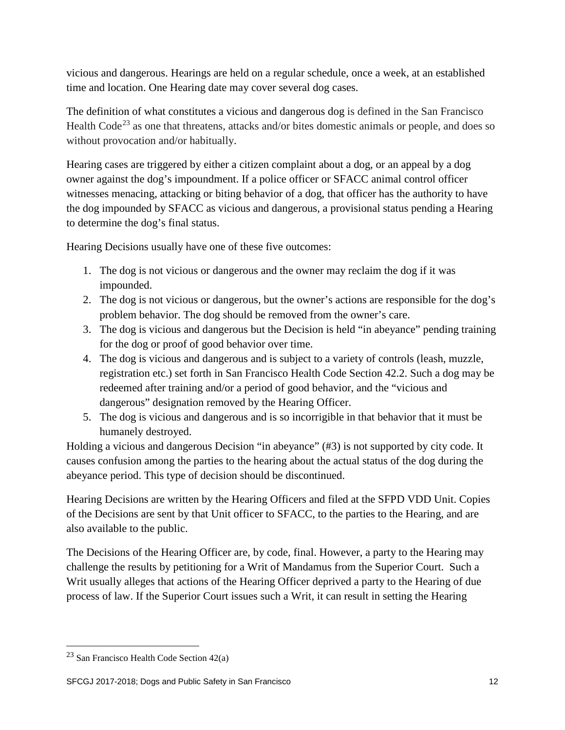vicious and dangerous. Hearings are held on a regular schedule, once a week, at an established time and location. One Hearing date may cover several dog cases.

The definition of what constitutes a vicious and dangerous dog is defined in the San Francisco Health Code<sup>[23](#page-11-0)</sup> as one that threatens, attacks and/or bites domestic animals or people, and does so without provocation and/or habitually.

Hearing cases are triggered by either a citizen complaint about a dog, or an appeal by a dog owner against the dog's impoundment. If a police officer or SFACC animal control officer witnesses menacing, attacking or biting behavior of a dog, that officer has the authority to have the dog impounded by SFACC as vicious and dangerous, a provisional status pending a Hearing to determine the dog's final status.

Hearing Decisions usually have one of these five outcomes:

- 1. The dog is not vicious or dangerous and the owner may reclaim the dog if it was impounded.
- 2. The dog is not vicious or dangerous, but the owner's actions are responsible for the dog's problem behavior. The dog should be removed from the owner's care.
- 3. The dog is vicious and dangerous but the Decision is held "in abeyance" pending training for the dog or proof of good behavior over time.
- 4. The dog is vicious and dangerous and is subject to a variety of controls (leash, muzzle, registration etc.) set forth in San Francisco Health Code Section 42.2. Such a dog may be redeemed after training and/or a period of good behavior, and the "vicious and dangerous" designation removed by the Hearing Officer.
- 5. The dog is vicious and dangerous and is so incorrigible in that behavior that it must be humanely destroyed.

Holding a vicious and dangerous Decision "in abeyance" (#3) is not supported by city code. It causes confusion among the parties to the hearing about the actual status of the dog during the abeyance period. This type of decision should be discontinued.

Hearing Decisions are written by the Hearing Officers and filed at the SFPD VDD Unit. Copies of the Decisions are sent by that Unit officer to SFACC, to the parties to the Hearing, and are also available to the public.

The Decisions of the Hearing Officer are, by code, final. However, a party to the Hearing may challenge the results by petitioning for a Writ of Mandamus from the Superior Court. Such a Writ usually alleges that actions of the Hearing Officer deprived a party to the Hearing of due process of law. If the Superior Court issues such a Writ, it can result in setting the Hearing

<span id="page-11-0"></span> $23$  San Francisco Health Code Section 42(a)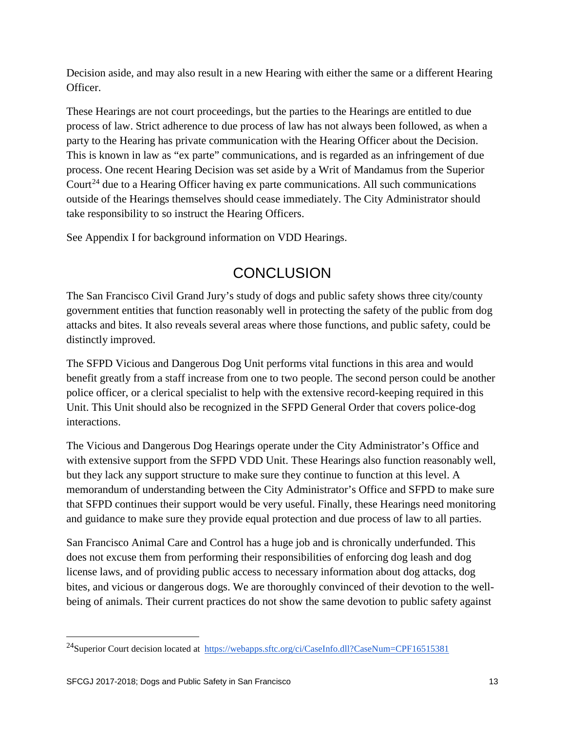Decision aside, and may also result in a new Hearing with either the same or a different Hearing Officer.

These Hearings are not court proceedings, but the parties to the Hearings are entitled to due process of law. Strict adherence to due process of law has not always been followed, as when a party to the Hearing has private communication with the Hearing Officer about the Decision. This is known in law as "ex parte" communications, and is regarded as an infringement of due process. One recent Hearing Decision was set aside by a Writ of Mandamus from the Superior Court<sup>[24](#page-12-0)</sup> due to a Hearing Officer having ex parte communications. All such communications outside of the Hearings themselves should cease immediately. The City Administrator should take responsibility to so instruct the Hearing Officers.

See Appendix I for background information on VDD Hearings.

## **CONCLUSION**

The San Francisco Civil Grand Jury's study of dogs and public safety shows three city/county government entities that function reasonably well in protecting the safety of the public from dog attacks and bites. It also reveals several areas where those functions, and public safety, could be distinctly improved.

The SFPD Vicious and Dangerous Dog Unit performs vital functions in this area and would benefit greatly from a staff increase from one to two people. The second person could be another police officer, or a clerical specialist to help with the extensive record-keeping required in this Unit. This Unit should also be recognized in the SFPD General Order that covers police-dog interactions.

The Vicious and Dangerous Dog Hearings operate under the City Administrator's Office and with extensive support from the SFPD VDD Unit. These Hearings also function reasonably well, but they lack any support structure to make sure they continue to function at this level. A memorandum of understanding between the City Administrator's Office and SFPD to make sure that SFPD continues their support would be very useful. Finally, these Hearings need monitoring and guidance to make sure they provide equal protection and due process of law to all parties.

San Francisco Animal Care and Control has a huge job and is chronically underfunded. This does not excuse them from performing their responsibilities of enforcing dog leash and dog license laws, and of providing public access to necessary information about dog attacks, dog bites, and vicious or dangerous dogs. We are thoroughly convinced of their devotion to the wellbeing of animals. Their current practices do not show the same devotion to public safety against

<span id="page-12-0"></span><sup>&</sup>lt;sup>24</sup>Superior Court decision located at<https://webapps.sftc.org/ci/CaseInfo.dll?CaseNum=CPF16515381>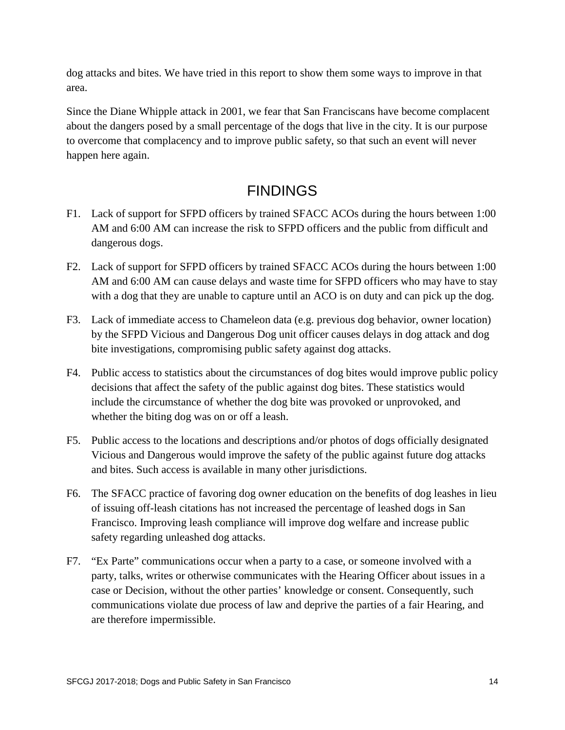dog attacks and bites. We have tried in this report to show them some ways to improve in that area.

Since the Diane Whipple attack in 2001, we fear that San Franciscans have become complacent about the dangers posed by a small percentage of the dogs that live in the city. It is our purpose to overcome that complacency and to improve public safety, so that such an event will never happen here again.

## FINDINGS

- F1. Lack of support for SFPD officers by trained SFACC ACOs during the hours between 1:00 AM and 6:00 AM can increase the risk to SFPD officers and the public from difficult and dangerous dogs.
- F2. Lack of support for SFPD officers by trained SFACC ACOs during the hours between 1:00 AM and 6:00 AM can cause delays and waste time for SFPD officers who may have to stay with a dog that they are unable to capture until an ACO is on duty and can pick up the dog.
- F3. Lack of immediate access to Chameleon data (e.g. previous dog behavior, owner location) by the SFPD Vicious and Dangerous Dog unit officer causes delays in dog attack and dog bite investigations, compromising public safety against dog attacks.
- F4. Public access to statistics about the circumstances of dog bites would improve public policy decisions that affect the safety of the public against dog bites. These statistics would include the circumstance of whether the dog bite was provoked or unprovoked, and whether the biting dog was on or off a leash.
- F5. Public access to the locations and descriptions and/or photos of dogs officially designated Vicious and Dangerous would improve the safety of the public against future dog attacks and bites. Such access is available in many other jurisdictions.
- F6. The SFACC practice of favoring dog owner education on the benefits of dog leashes in lieu of issuing off-leash citations has not increased the percentage of leashed dogs in San Francisco. Improving leash compliance will improve dog welfare and increase public safety regarding unleashed dog attacks.
- F7. "Ex Parte" communications occur when a party to a case, or someone involved with a party, talks, writes or otherwise communicates with the Hearing Officer about issues in a case or Decision, without the other parties' knowledge or consent. Consequently, such communications violate due process of law and deprive the parties of a fair Hearing, and are therefore impermissible.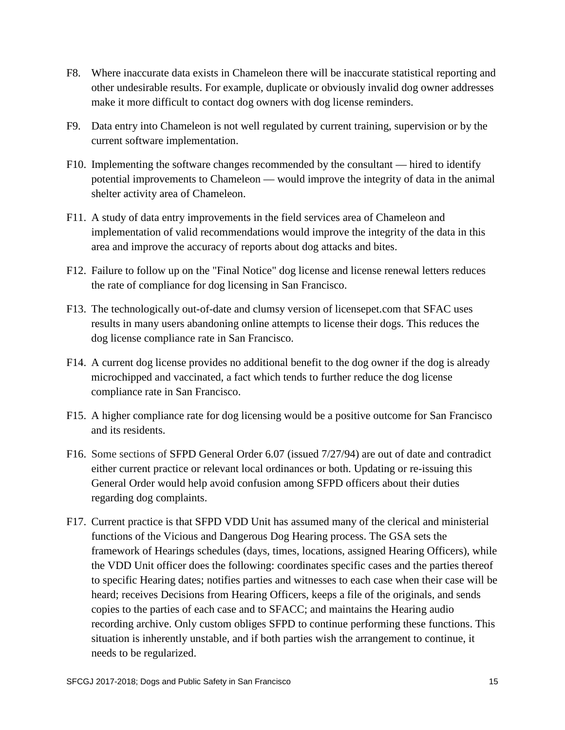- F8. Where inaccurate data exists in Chameleon there will be inaccurate statistical reporting and other undesirable results. For example, duplicate or obviously invalid dog owner addresses make it more difficult to contact dog owners with dog license reminders.
- F9. Data entry into Chameleon is not well regulated by current training, supervision or by the current software implementation.
- F10. Implementing the software changes recommended by the consultant hired to identify potential improvements to Chameleon — would improve the integrity of data in the animal shelter activity area of Chameleon.
- F11. A study of data entry improvements in the field services area of Chameleon and implementation of valid recommendations would improve the integrity of the data in this area and improve the accuracy of reports about dog attacks and bites.
- F12. Failure to follow up on the "Final Notice" dog license and license renewal letters reduces the rate of compliance for dog licensing in San Francisco.
- F13. The technologically out-of-date and clumsy version of licensepet.com that SFAC uses results in many users abandoning online attempts to license their dogs. This reduces the dog license compliance rate in San Francisco.
- F14. A current dog license provides no additional benefit to the dog owner if the dog is already microchipped and vaccinated, a fact which tends to further reduce the dog license compliance rate in San Francisco.
- F15. A higher compliance rate for dog licensing would be a positive outcome for San Francisco and its residents.
- F16. Some sections of SFPD General Order 6.07 (issued 7/27/94) are out of date and contradict either current practice or relevant local ordinances or both. Updating or re-issuing this General Order would help avoid confusion among SFPD officers about their duties regarding dog complaints.
- F17. Current practice is that SFPD VDD Unit has assumed many of the clerical and ministerial functions of the Vicious and Dangerous Dog Hearing process. The GSA sets the framework of Hearings schedules (days, times, locations, assigned Hearing Officers), while the VDD Unit officer does the following: coordinates specific cases and the parties thereof to specific Hearing dates; notifies parties and witnesses to each case when their case will be heard; receives Decisions from Hearing Officers, keeps a file of the originals, and sends copies to the parties of each case and to SFACC; and maintains the Hearing audio recording archive. Only custom obliges SFPD to continue performing these functions. This situation is inherently unstable, and if both parties wish the arrangement to continue, it needs to be regularized.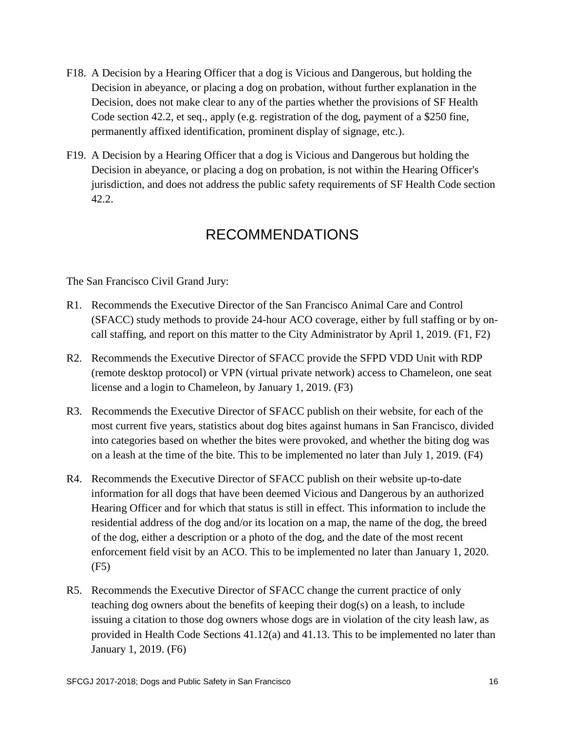- F18. A Decision by a Hearing Officer that a dog is Vicious and Dangerous, but holding the Decision in abeyance, or placing a dog on probation, without further explanation in the Decision, does not make clear to any of the parties whether the provisions of SF Health Code section 42.2, et seq., apply (e.g. registration of the dog, payment of a \$250 fine, permanently affixed identification, prominent display of signage, etc.).
- F19. A Decision by a Hearing Officer that a dog is Vicious and Dangerous but holding the Decision in abeyance, or placing a dog on probation, is not within the Hearing Officer's jurisdiction, and does not address the public safety requirements of SF Health Code section 42.2.

#### RECOMMENDATIONS

The San Francisco Civil Grand Jury:

- R1. Recommends the Executive Director of the San Francisco Animal Care and Control (SFACC) study methods to provide 24-hour ACO coverage, either by full staffing or by oncall staffing, and report on this matter to the City Administrator by April 1, 2019. (F1, F2)
- R2. Recommends the Executive Director of SFACC provide the SFPD VDD Unit with RDP (remote desktop protocol) or VPN (virtual private network) access to Chameleon, one seat license and a login to Chameleon, by January 1, 2019. (F3)
- R3. Recommends the Executive Director of SFACC publish on their website, for each of the most current five years, statistics about dog bites against humans in San Francisco, divided into categories based on whether the bites were provoked, and whether the biting dog was on a leash at the time of the bite. This to be implemented no later than July 1, 2019. (F4)
- R4. Recommends the Executive Director of SFACC publish on their website up-to-date information for all dogs that have been deemed Vicious and Dangerous by an authorized Hearing Officer and for which that status is still in effect. This information to include the residential address of the dog and/or its location on a map, the name of the dog, the breed of the dog, either a description or a photo of the dog, and the date of the most recent enforcement field visit by an ACO. This to be implemented no later than January 1, 2020. (F5)
- R5. Recommends the Executive Director of SFACC change the current practice of only teaching dog owners about the benefits of keeping their dog(s) on a leash, to include issuing a citation to those dog owners whose dogs are in violation of the city leash law, as provided in Health Code Sections 41.12(a) and 41.13. This to be implemented no later than January 1, 2019. (F6)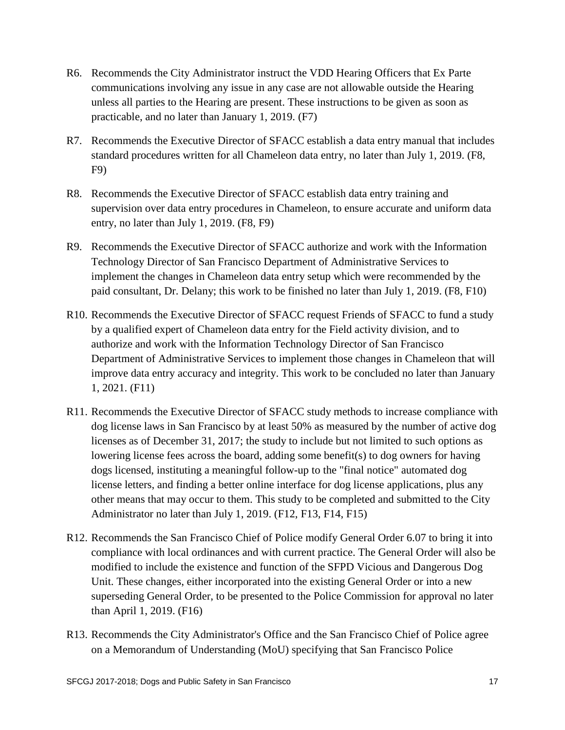- R6. Recommends the City Administrator instruct the VDD Hearing Officers that Ex Parte communications involving any issue in any case are not allowable outside the Hearing unless all parties to the Hearing are present. These instructions to be given as soon as practicable, and no later than January 1, 2019. (F7)
- R7. Recommends the Executive Director of SFACC establish a data entry manual that includes standard procedures written for all Chameleon data entry, no later than July 1, 2019. (F8, F9)
- R8. Recommends the Executive Director of SFACC establish data entry training and supervision over data entry procedures in Chameleon, to ensure accurate and uniform data entry, no later than July 1, 2019. (F8, F9)
- R9. Recommends the Executive Director of SFACC authorize and work with the Information Technology Director of San Francisco Department of Administrative Services to implement the changes in Chameleon data entry setup which were recommended by the paid consultant, Dr. Delany; this work to be finished no later than July 1, 2019. (F8, F10)
- R10. Recommends the Executive Director of SFACC request Friends of SFACC to fund a study by a qualified expert of Chameleon data entry for the Field activity division, and to authorize and work with the Information Technology Director of San Francisco Department of Administrative Services to implement those changes in Chameleon that will improve data entry accuracy and integrity. This work to be concluded no later than January 1, 2021. (F11)
- R11. Recommends the Executive Director of SFACC study methods to increase compliance with dog license laws in San Francisco by at least 50% as measured by the number of active dog licenses as of December 31, 2017; the study to include but not limited to such options as lowering license fees across the board, adding some benefit(s) to dog owners for having dogs licensed, instituting a meaningful follow-up to the "final notice" automated dog license letters, and finding a better online interface for dog license applications, plus any other means that may occur to them. This study to be completed and submitted to the City Administrator no later than July 1, 2019. (F12, F13, F14, F15)
- R12. Recommends the San Francisco Chief of Police modify General Order 6.07 to bring it into compliance with local ordinances and with current practice. The General Order will also be modified to include the existence and function of the SFPD Vicious and Dangerous Dog Unit. These changes, either incorporated into the existing General Order or into a new superseding General Order, to be presented to the Police Commission for approval no later than April 1, 2019. (F16)
- R13. Recommends the City Administrator's Office and the San Francisco Chief of Police agree on a Memorandum of Understanding (MoU) specifying that San Francisco Police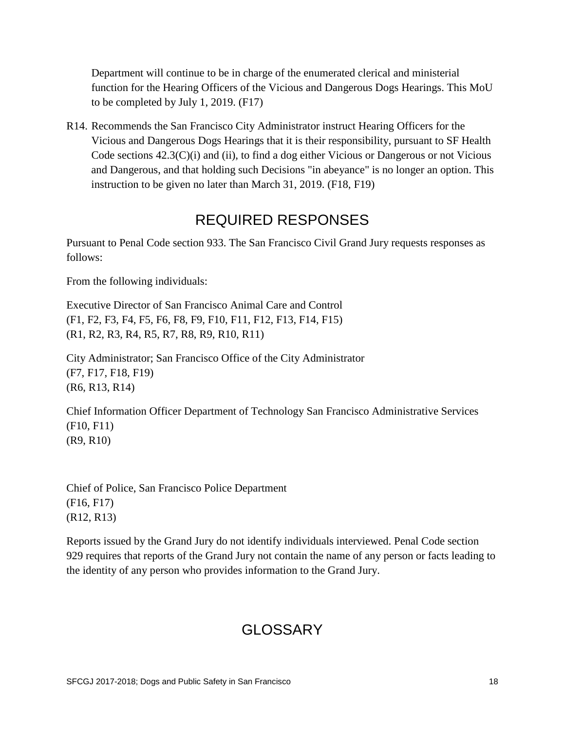Department will continue to be in charge of the enumerated clerical and ministerial function for the Hearing Officers of the Vicious and Dangerous Dogs Hearings. This MoU to be completed by July 1, 2019. (F17)

R14. Recommends the San Francisco City Administrator instruct Hearing Officers for the Vicious and Dangerous Dogs Hearings that it is their responsibility, pursuant to SF Health Code sections  $42.3(C)(i)$  and (ii), to find a dog either Vicious or Dangerous or not Vicious and Dangerous, and that holding such Decisions "in abeyance" is no longer an option. This instruction to be given no later than March 31, 2019. (F18, F19)

## REQUIRED RESPONSES

Pursuant to Penal Code section 933. The San Francisco Civil Grand Jury requests responses as follows:

From the following individuals:

Executive Director of San Francisco Animal Care and Control (F1, F2, F3, F4, F5, F6, F8, F9, F10, F11, F12, F13, F14, F15) (R1, R2, R3, R4, R5, R7, R8, R9, R10, R11)

City Administrator; San Francisco Office of the City Administrator (F7, F17, F18, F19) (R6, R13, R14)

Chief Information Officer Department of Technology San Francisco Administrative Services (F10, F11) (R9, R10)

Chief of Police, San Francisco Police Department (F16, F17) (R12, R13)

Reports issued by the Grand Jury do not identify individuals interviewed. Penal Code section 929 requires that reports of the Grand Jury not contain the name of any person or facts leading to the identity of any person who provides information to the Grand Jury.

## GLOSSARY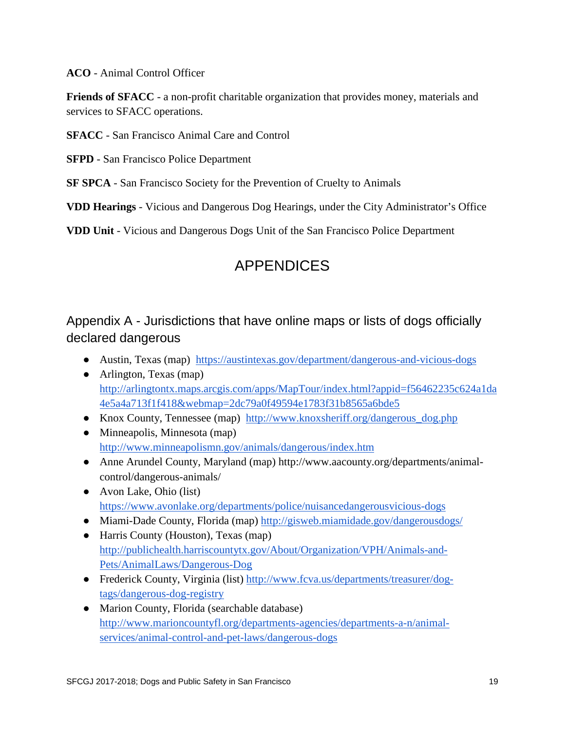**ACO** - Animal Control Officer

**Friends of SFACC** - a non-profit charitable organization that provides money, materials and services to SFACC operations.

**SFACC** - San Francisco Animal Care and Control

**SFPD** - San Francisco Police Department

**SF SPCA** - San Francisco Society for the Prevention of Cruelty to Animals

**VDD Hearings** - Vicious and Dangerous Dog Hearings, under the City Administrator's Office

**VDD Unit** - Vicious and Dangerous Dogs Unit of the San Francisco Police Department

## APPENDICES

Appendix A - Jurisdictions that have online maps or lists of dogs officially declared dangerous

- Austin, Texas (map) <https://austintexas.gov/department/dangerous-and-vicious-dogs>
- Arlington, Texas (map) [http://arlingtontx.maps.arcgis.com/apps/MapTour/index.html?appid=f56462235c624a1da](http://arlingtontx.maps.arcgis.com/apps/MapTour/index.html?appid=f56462235c624a1da4e5a4a713f1f418&webmap=2dc79a0f49594e1783f31b8565a6bde5) [4e5a4a713f1f418&webmap=2dc79a0f49594e1783f31b8565a6bde5](http://arlingtontx.maps.arcgis.com/apps/MapTour/index.html?appid=f56462235c624a1da4e5a4a713f1f418&webmap=2dc79a0f49594e1783f31b8565a6bde5)
- Knox County, Tennessee (map) [http://www.knoxsheriff.org/dangerous\\_dog.php](http://www.knoxsheriff.org/dangerous_dog.php)
- Minneapolis, Minnesota (map) <http://www.minneapolismn.gov/animals/dangerous/index.htm>
- Anne Arundel County, Maryland (map) http://www.aacounty.org/departments/animalcontrol/dangerous-animals/
- Avon Lake, Ohio (list) <https://www.avonlake.org/departments/police/nuisancedangerousvicious-dogs>
- Miami-Dade County, Florida (map)<http://gisweb.miamidade.gov/dangerousdogs/>
- Harris County (Houston), Texas (map) [http://publichealth.harriscountytx.gov/About/Organization/VPH/Animals-and-](http://publichealth.harriscountytx.gov/About/Organization/VPH/Animals-and-Pets/AnimalLaws/Dangerous-Dog)[Pets/AnimalLaws/Dangerous-Dog](http://publichealth.harriscountytx.gov/About/Organization/VPH/Animals-and-Pets/AnimalLaws/Dangerous-Dog)
- Frederick County, Virginia (list) [http://www.fcva.us/departments/treasurer/dog](http://www.fcva.us/departments/treasurer/dog-tags/dangerous-dog-registry)[tags/dangerous-dog-registry](http://www.fcva.us/departments/treasurer/dog-tags/dangerous-dog-registry)
- Marion County, Florida (searchable database) [http://www.marioncountyfl.org/departments-agencies/departments-a-n/animal](http://www.marioncountyfl.org/departments-agencies/departments-a-n/animal-services/animal-control-and-pet-laws/dangerous-dogs)[services/animal-control-and-pet-laws/dangerous-dogs](http://www.marioncountyfl.org/departments-agencies/departments-a-n/animal-services/animal-control-and-pet-laws/dangerous-dogs)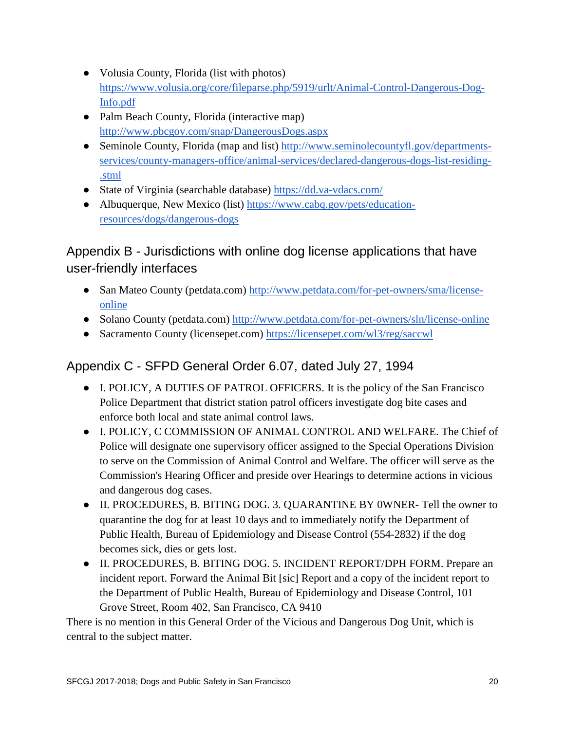- Volusia County, Florida (list with photos) [https://www.volusia.org/core/fileparse.php/5919/urlt/Animal-Control-Dangerous-Dog-](https://www.volusia.org/core/fileparse.php/5919/urlt/Animal-Control-Dangerous-Dog-Info.pdf)[Info.pdf](https://www.volusia.org/core/fileparse.php/5919/urlt/Animal-Control-Dangerous-Dog-Info.pdf)
- Palm Beach County, Florida (interactive map) <http://www.pbcgov.com/snap/DangerousDogs.aspx>
- Seminole County, Florida (map and list) [http://www.seminolecountyfl.gov/departments](http://www.seminolecountyfl.gov/departments-services/county-managers-office/animal-services/declared-dangerous-dogs-list-residing-.stml)[services/county-managers-office/animal-services/declared-dangerous-dogs-list-residing-](http://www.seminolecountyfl.gov/departments-services/county-managers-office/animal-services/declared-dangerous-dogs-list-residing-.stml) [.stml](http://www.seminolecountyfl.gov/departments-services/county-managers-office/animal-services/declared-dangerous-dogs-list-residing-.stml)
- State of Virginia (searchable database)<https://dd.va-vdacs.com/>
- Albuquerque, New Mexico (list) [https://www.cabq.gov/pets/education](https://www.cabq.gov/pets/education-resources/dogs/dangerous-dogs)[resources/dogs/dangerous-dogs](https://www.cabq.gov/pets/education-resources/dogs/dangerous-dogs)

### Appendix B - Jurisdictions with online dog license applications that have user-friendly interfaces

- San Mateo County (petdata.com) [http://www.petdata.com/for-pet-owners/sma/license](http://www.petdata.com/for-pet-owners/sma/license-online)[online](http://www.petdata.com/for-pet-owners/sma/license-online)
- Solano County (petdata.com)<http://www.petdata.com/for-pet-owners/sln/license-online>
- Sacramento County (licensepet.com)<https://licensepet.com/wl3/reg/saccwl>

### Appendix C - SFPD General Order 6.07, dated July 27, 1994

- I. POLICY, A DUTIES OF PATROL OFFICERS. It is the policy of the San Francisco Police Department that district station patrol officers investigate dog bite cases and enforce both local and state animal control laws.
- I. POLICY, C COMMISSION OF ANIMAL CONTROL AND WELFARE. The Chief of Police will designate one supervisory officer assigned to the Special Operations Division to serve on the Commission of Animal Control and Welfare. The officer will serve as the Commission's Hearing Officer and preside over Hearings to determine actions in vicious and dangerous dog cases.
- II. PROCEDURES, B. BITING DOG. 3. QUARANTINE BY 0WNER- Tell the owner to quarantine the dog for at least 10 days and to immediately notify the Department of Public Health, Bureau of Epidemiology and Disease Control (554-2832) if the dog becomes sick, dies or gets lost.
- II. PROCEDURES, B. BITING DOG. 5. INCIDENT REPORT/DPH FORM. Prepare an incident report. Forward the Animal Bit [sic] Report and a copy of the incident report to the Department of Public Health, Bureau of Epidemiology and Disease Control, 101 Grove Street, Room 402, San Francisco, CA 9410

There is no mention in this General Order of the Vicious and Dangerous Dog Unit, which is central to the subject matter.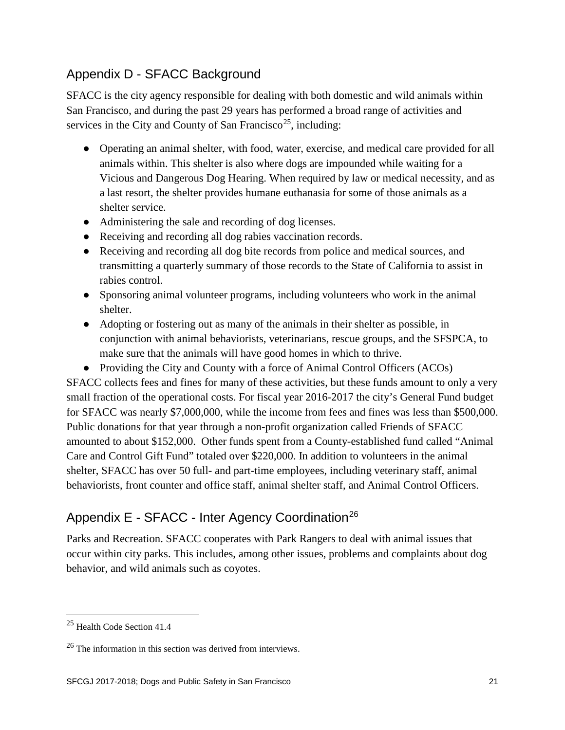#### Appendix D - SFACC Background

SFACC is the city agency responsible for dealing with both domestic and wild animals within San Francisco, and during the past 29 years has performed a broad range of activities and services in the City and County of San Francisco<sup>[25](#page-20-0)</sup>, including:

- Operating an animal shelter, with food, water, exercise, and medical care provided for all animals within. This shelter is also where dogs are impounded while waiting for a Vicious and Dangerous Dog Hearing. When required by law or medical necessity, and as a last resort, the shelter provides humane euthanasia for some of those animals as a shelter service.
- Administering the sale and recording of dog licenses.
- Receiving and recording all dog rabies vaccination records.
- Receiving and recording all dog bite records from police and medical sources, and transmitting a quarterly summary of those records to the State of California to assist in rabies control.
- Sponsoring animal volunteer programs, including volunteers who work in the animal shelter.
- Adopting or fostering out as many of the animals in their shelter as possible, in conjunction with animal behaviorists, veterinarians, rescue groups, and the SFSPCA, to make sure that the animals will have good homes in which to thrive.
- Providing the City and County with a force of Animal Control Officers (ACOs) SFACC collects fees and fines for many of these activities, but these funds amount to only a very small fraction of the operational costs. For fiscal year 2016-2017 the city's General Fund budget for SFACC was nearly \$7,000,000, while the income from fees and fines was less than \$500,000. Public donations for that year through a non-profit organization called Friends of SFACC amounted to about \$152,000. Other funds spent from a County-established fund called "Animal Care and Control Gift Fund" totaled over \$220,000. In addition to volunteers in the animal shelter, SFACC has over 50 full- and part-time employees, including veterinary staff, animal behaviorists, front counter and office staff, animal shelter staff, and Animal Control Officers.

### Appendix E - SFACC - Inter Agency Coordination<sup>[26](#page-20-1)</sup>

Parks and Recreation. SFACC cooperates with Park Rangers to deal with animal issues that occur within city parks. This includes, among other issues, problems and complaints about dog behavior, and wild animals such as coyotes.

<span id="page-20-0"></span> <sup>25</sup> Health Code Section 41.4

<span id="page-20-1"></span> $26$  The information in this section was derived from interviews.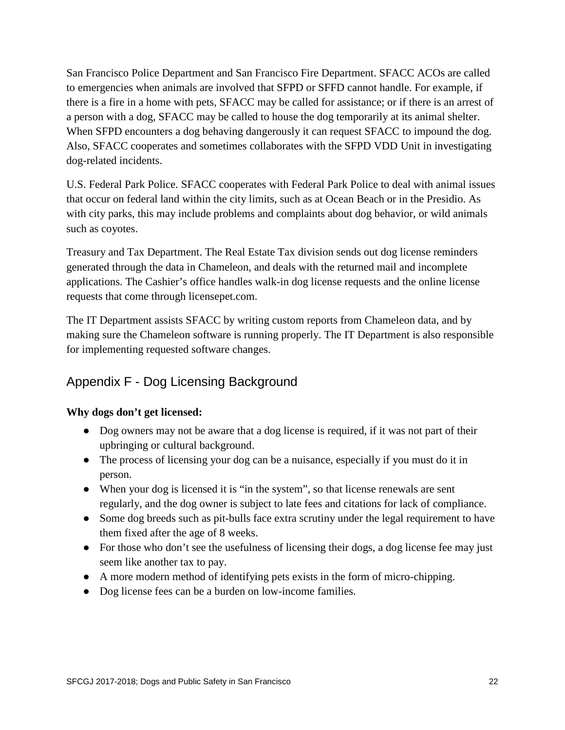San Francisco Police Department and San Francisco Fire Department. SFACC ACOs are called to emergencies when animals are involved that SFPD or SFFD cannot handle. For example, if there is a fire in a home with pets, SFACC may be called for assistance; or if there is an arrest of a person with a dog, SFACC may be called to house the dog temporarily at its animal shelter. When SFPD encounters a dog behaving dangerously it can request SFACC to impound the dog. Also, SFACC cooperates and sometimes collaborates with the SFPD VDD Unit in investigating dog-related incidents.

U.S. Federal Park Police. SFACC cooperates with Federal Park Police to deal with animal issues that occur on federal land within the city limits, such as at Ocean Beach or in the Presidio. As with city parks, this may include problems and complaints about dog behavior, or wild animals such as coyotes.

Treasury and Tax Department. The Real Estate Tax division sends out dog license reminders generated through the data in Chameleon, and deals with the returned mail and incomplete applications. The Cashier's office handles walk-in dog license requests and the online license requests that come through licensepet.com.

The IT Department assists SFACC by writing custom reports from Chameleon data, and by making sure the Chameleon software is running properly. The IT Department is also responsible for implementing requested software changes.

#### Appendix F - Dog Licensing Background

#### **Why dogs don't get licensed:**

- Dog owners may not be aware that a dog license is required, if it was not part of their upbringing or cultural background.
- The process of licensing your dog can be a nuisance, especially if you must do it in person.
- When your dog is licensed it is "in the system", so that license renewals are sent regularly, and the dog owner is subject to late fees and citations for lack of compliance.
- Some dog breeds such as pit-bulls face extra scrutiny under the legal requirement to have them fixed after the age of 8 weeks.
- For those who don't see the usefulness of licensing their dogs, a dog license fee may just seem like another tax to pay.
- A more modern method of identifying pets exists in the form of micro-chipping.
- Dog license fees can be a burden on low-income families.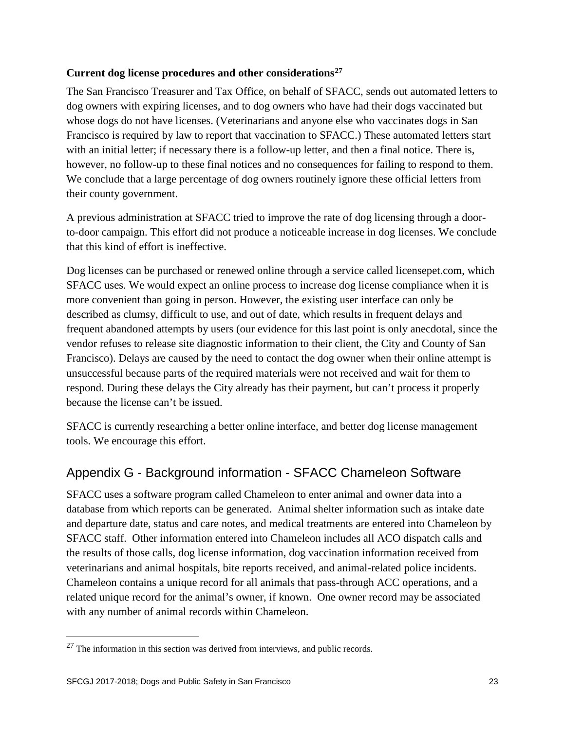#### **Current dog license procedures and other considerations[27](#page-22-0)**

The San Francisco Treasurer and Tax Office, on behalf of SFACC, sends out automated letters to dog owners with expiring licenses, and to dog owners who have had their dogs vaccinated but whose dogs do not have licenses. (Veterinarians and anyone else who vaccinates dogs in San Francisco is required by law to report that vaccination to SFACC.) These automated letters start with an initial letter; if necessary there is a follow-up letter, and then a final notice. There is, however, no follow-up to these final notices and no consequences for failing to respond to them. We conclude that a large percentage of dog owners routinely ignore these official letters from their county government.

A previous administration at SFACC tried to improve the rate of dog licensing through a doorto-door campaign. This effort did not produce a noticeable increase in dog licenses. We conclude that this kind of effort is ineffective.

Dog licenses can be purchased or renewed online through a service called licensepet.com, which SFACC uses. We would expect an online process to increase dog license compliance when it is more convenient than going in person. However, the existing user interface can only be described as clumsy, difficult to use, and out of date, which results in frequent delays and frequent abandoned attempts by users (our evidence for this last point is only anecdotal, since the vendor refuses to release site diagnostic information to their client, the City and County of San Francisco). Delays are caused by the need to contact the dog owner when their online attempt is unsuccessful because parts of the required materials were not received and wait for them to respond. During these delays the City already has their payment, but can't process it properly because the license can't be issued.

SFACC is currently researching a better online interface, and better dog license management tools. We encourage this effort.

#### Appendix G - Background information - SFACC Chameleon Software

SFACC uses a software program called Chameleon to enter animal and owner data into a database from which reports can be generated. Animal shelter information such as intake date and departure date, status and care notes, and medical treatments are entered into Chameleon by SFACC staff. Other information entered into Chameleon includes all ACO dispatch calls and the results of those calls, dog license information, dog vaccination information received from veterinarians and animal hospitals, bite reports received, and animal-related police incidents. Chameleon contains a unique record for all animals that pass-through ACC operations, and a related unique record for the animal's owner, if known. One owner record may be associated with any number of animal records within Chameleon.

<span id="page-22-0"></span><sup>&</sup>lt;sup>27</sup> The information in this section was derived from interviews, and public records.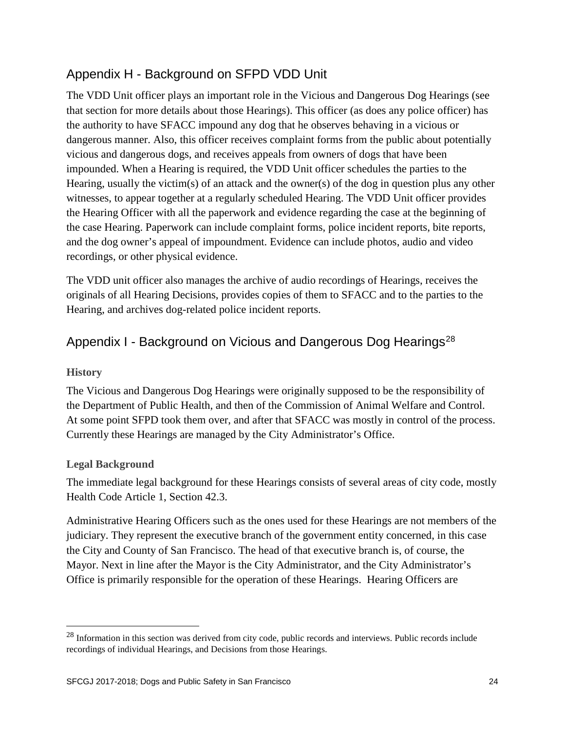#### Appendix H - Background on SFPD VDD Unit

The VDD Unit officer plays an important role in the Vicious and Dangerous Dog Hearings (see that section for more details about those Hearings). This officer (as does any police officer) has the authority to have SFACC impound any dog that he observes behaving in a vicious or dangerous manner. Also, this officer receives complaint forms from the public about potentially vicious and dangerous dogs, and receives appeals from owners of dogs that have been impounded. When a Hearing is required, the VDD Unit officer schedules the parties to the Hearing, usually the victim(s) of an attack and the owner(s) of the dog in question plus any other witnesses, to appear together at a regularly scheduled Hearing. The VDD Unit officer provides the Hearing Officer with all the paperwork and evidence regarding the case at the beginning of the case Hearing. Paperwork can include complaint forms, police incident reports, bite reports, and the dog owner's appeal of impoundment. Evidence can include photos, audio and video recordings, or other physical evidence.

The VDD unit officer also manages the archive of audio recordings of Hearings, receives the originals of all Hearing Decisions, provides copies of them to SFACC and to the parties to the Hearing, and archives dog-related police incident reports.

#### Appendix I - Background on Vicious and Dangerous Dog Hearings<sup>[28](#page-23-0)</sup>

#### **History**

The Vicious and Dangerous Dog Hearings were originally supposed to be the responsibility of the Department of Public Health, and then of the Commission of Animal Welfare and Control. At some point SFPD took them over, and after that SFACC was mostly in control of the process. Currently these Hearings are managed by the City Administrator's Office.

#### **Legal Background**

The immediate legal background for these Hearings consists of several areas of city code, mostly Health Code Article 1, Section 42.3.

Administrative Hearing Officers such as the ones used for these Hearings are not members of the judiciary. They represent the executive branch of the government entity concerned, in this case the City and County of San Francisco. The head of that executive branch is, of course, the Mayor. Next in line after the Mayor is the City Administrator, and the City Administrator's Office is primarily responsible for the operation of these Hearings. Hearing Officers are

<span id="page-23-0"></span><sup>&</sup>lt;sup>28</sup> Information in this section was derived from city code, public records and interviews. Public records include recordings of individual Hearings, and Decisions from those Hearings.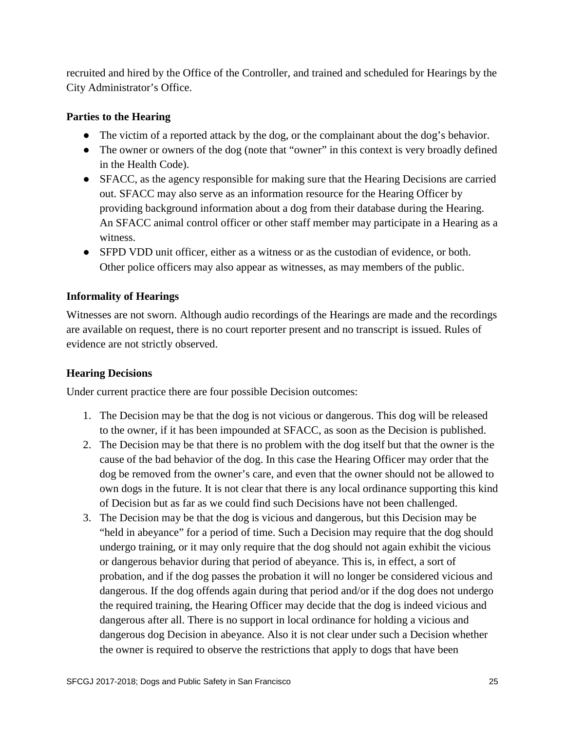recruited and hired by the Office of the Controller, and trained and scheduled for Hearings by the City Administrator's Office.

#### **Parties to the Hearing**

- The victim of a reported attack by the dog, or the complainant about the dog's behavior.
- The owner or owners of the dog (note that "owner" in this context is very broadly defined in the Health Code).
- SFACC, as the agency responsible for making sure that the Hearing Decisions are carried out. SFACC may also serve as an information resource for the Hearing Officer by providing background information about a dog from their database during the Hearing. An SFACC animal control officer or other staff member may participate in a Hearing as a witness.
- SFPD VDD unit officer, either as a witness or as the custodian of evidence, or both. Other police officers may also appear as witnesses, as may members of the public.

#### **Informality of Hearings**

Witnesses are not sworn. Although audio recordings of the Hearings are made and the recordings are available on request, there is no court reporter present and no transcript is issued. Rules of evidence are not strictly observed.

#### **Hearing Decisions**

Under current practice there are four possible Decision outcomes:

- 1. The Decision may be that the dog is not vicious or dangerous. This dog will be released to the owner, if it has been impounded at SFACC, as soon as the Decision is published.
- 2. The Decision may be that there is no problem with the dog itself but that the owner is the cause of the bad behavior of the dog. In this case the Hearing Officer may order that the dog be removed from the owner's care, and even that the owner should not be allowed to own dogs in the future. It is not clear that there is any local ordinance supporting this kind of Decision but as far as we could find such Decisions have not been challenged.
- 3. The Decision may be that the dog is vicious and dangerous, but this Decision may be "held in abeyance" for a period of time. Such a Decision may require that the dog should undergo training, or it may only require that the dog should not again exhibit the vicious or dangerous behavior during that period of abeyance. This is, in effect, a sort of probation, and if the dog passes the probation it will no longer be considered vicious and dangerous. If the dog offends again during that period and/or if the dog does not undergo the required training, the Hearing Officer may decide that the dog is indeed vicious and dangerous after all. There is no support in local ordinance for holding a vicious and dangerous dog Decision in abeyance. Also it is not clear under such a Decision whether the owner is required to observe the restrictions that apply to dogs that have been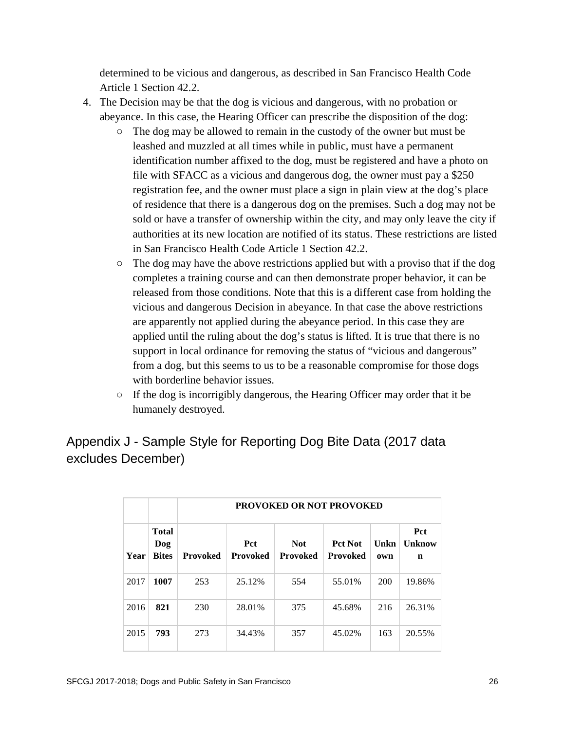determined to be vicious and dangerous, as described in San Francisco Health Code Article 1 Section 42.2.

- 4. The Decision may be that the dog is vicious and dangerous, with no probation or abeyance. In this case, the Hearing Officer can prescribe the disposition of the dog:
	- The dog may be allowed to remain in the custody of the owner but must be leashed and muzzled at all times while in public, must have a permanent identification number affixed to the dog, must be registered and have a photo on file with SFACC as a vicious and dangerous dog, the owner must pay a \$250 registration fee, and the owner must place a sign in plain view at the dog's place of residence that there is a dangerous dog on the premises. Such a dog may not be sold or have a transfer of ownership within the city, and may only leave the city if authorities at its new location are notified of its status. These restrictions are listed in San Francisco Health Code Article 1 Section 42.2.
	- The dog may have the above restrictions applied but with a proviso that if the dog completes a training course and can then demonstrate proper behavior, it can be released from those conditions. Note that this is a different case from holding the vicious and dangerous Decision in abeyance. In that case the above restrictions are apparently not applied during the abeyance period. In this case they are applied until the ruling about the dog's status is lifted. It is true that there is no support in local ordinance for removing the status of "vicious and dangerous" from a dog, but this seems to us to be a reasonable compromise for those dogs with borderline behavior issues.
	- If the dog is incorrigibly dangerous, the Hearing Officer may order that it be humanely destroyed.

#### Appendix J - Sample Style for Reporting Dog Bite Data (2017 data excludes December)

|      |                                     | <b>PROVOKED OR NOT PROVOKED</b> |                               |                               |                                   |             |                           |  |  |
|------|-------------------------------------|---------------------------------|-------------------------------|-------------------------------|-----------------------------------|-------------|---------------------------|--|--|
| Year | <b>Total</b><br>Dog<br><b>Bites</b> | <b>Provoked</b>                 | <b>Pct</b><br><b>Provoked</b> | <b>Not</b><br><b>Provoked</b> | <b>Pct Not</b><br><b>Provoked</b> | Unkn<br>own | <b>Pct</b><br>Unknow<br>n |  |  |
| 2017 | 1007                                | 253                             | 25.12%                        | 554                           | 55.01%                            | 200         | 19.86%                    |  |  |
| 2016 | 821                                 | 230                             | 28.01%                        | 375                           | 45.68%                            | 216         | 26.31%                    |  |  |
| 2015 | 793                                 | 273                             | 34.43%                        | 357                           | 45.02%                            | 163         | 20.55%                    |  |  |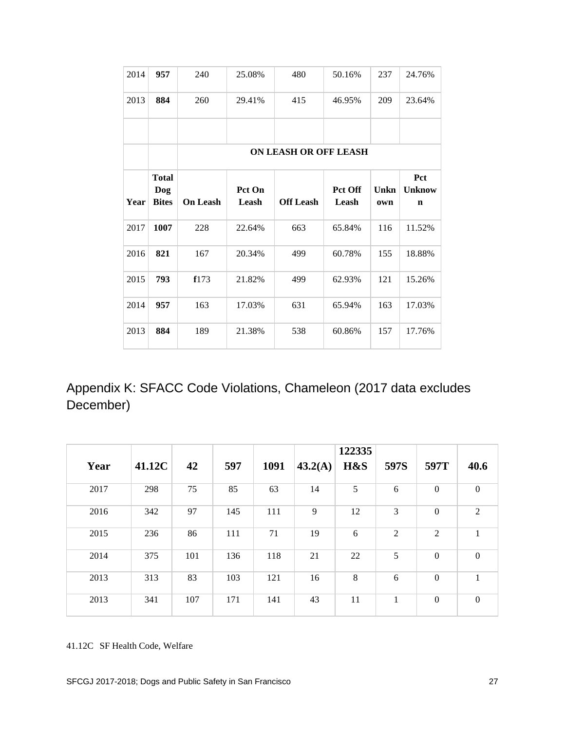| 2014 | 957                                 | 240                          | 25.08%          | 480              | 50.16%           | 237         | 24.76%                              |  |  |
|------|-------------------------------------|------------------------------|-----------------|------------------|------------------|-------------|-------------------------------------|--|--|
| 2013 | 884                                 | 260                          | 29.41%          | 415              | 46.95%           | 209         | 23.64%                              |  |  |
|      |                                     |                              |                 |                  |                  |             |                                     |  |  |
|      |                                     | <b>ON LEASH OR OFF LEASH</b> |                 |                  |                  |             |                                     |  |  |
| Year | <b>Total</b><br>Dog<br><b>Bites</b> | <b>On Leash</b>              | Pct On<br>Leash | <b>Off Leash</b> | Pct Off<br>Leash | Unkn<br>own | Pct<br><b>Unknow</b><br>$\mathbf n$ |  |  |
| 2017 | 1007                                | 228                          | 22.64%          | 663              | 65.84%           | 116         | 11.52%                              |  |  |
| 2016 | 821                                 | 167                          | 20.34%          | 499              | 60.78%           | 155         | 18.88%                              |  |  |
| 2015 | 793                                 | f173                         | 21.82%          | 499              | 62.93%           | 121         | 15.26%                              |  |  |
| 2014 | 957                                 | 163                          | 17.03%          | 631              | 65.94%           | 163         | 17.03%                              |  |  |
| 2013 | 884                                 | 189                          | 21.38%          | 538              | 60.86%           | 157         | 17.76%                              |  |  |

Appendix K: SFACC Code Violations, Chameleon (2017 data excludes December)

| Year | 41.12C | 42  | 597 | 1091 | 43.2(A) | 122335<br>H&S | 597S | 597T             | 40.6           |
|------|--------|-----|-----|------|---------|---------------|------|------------------|----------------|
| 2017 | 298    | 75  | 85  | 63   | 14      | 5             | 6    | $\theta$         | $\mathbf{0}$   |
| 2016 | 342    | 97  | 145 | 111  | 9       | 12            | 3    | $\boldsymbol{0}$ | $\overline{2}$ |
| 2015 | 236    | 86  | 111 | 71   | 19      | 6             | 2    | 2                | 1              |
| 2014 | 375    | 101 | 136 | 118  | 21      | 22            | 5    | $\boldsymbol{0}$ | $\mathbf{0}$   |
| 2013 | 313    | 83  | 103 | 121  | 16      | $\,8\,$       | 6    | $\mathbf{0}$     | 1              |
| 2013 | 341    | 107 | 171 | 141  | 43      | 11            | 1    | $\theta$         | $\mathbf{0}$   |

41.12C SF Health Code, Welfare